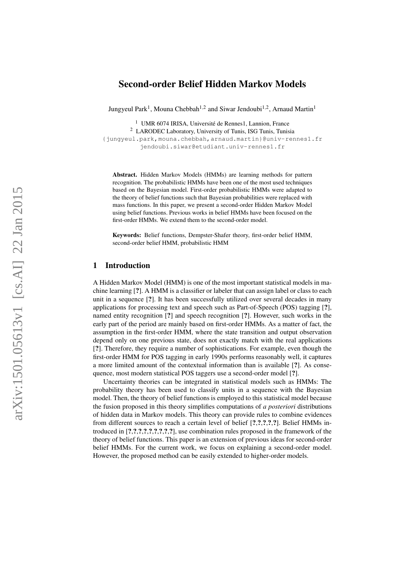# Second-order Belief Hidden Markov Models

Jungyeul Park<sup>1</sup>, Mouna Chebbah<sup>1,2</sup> and Siwar Jendoubi<sup>1,2</sup>, Arnaud Martin<sup>1</sup>

<sup>1</sup> UMR 6074 IRISA, Université de Rennes1, Lannion, France

<sup>2</sup> LARODEC Laboratory, University of Tunis, ISG Tunis, Tunisia

{jungyeul.park,mouna.chebbah,arnaud.martin}@univ-rennes1.fr jendoubi.siwar@etudiant.univ-rennes1.fr

Abstract. Hidden Markov Models (HMMs) are learning methods for pattern recognition. The probabilistic HMMs have been one of the most used techniques based on the Bayesian model. First-order probabilistic HMMs were adapted to the theory of belief functions such that Bayesian probabilities were replaced with mass functions. In this paper, we present a second-order Hidden Markov Model using belief functions. Previous works in belief HMMs have been focused on the first-order HMMs. We extend them to the second-order model.

Keywords: Belief functions, Dempster-Shafer theory, first-order belief HMM, second-order belief HMM, probabilistic HMM

#### 1 Introduction

A Hidden Markov Model (HMM) is one of the most important statistical models in machine learning [?]. A HMM is a classifier or labeler that can assign label or class to each unit in a sequence [ ?]. It has been successfully utilized over several decades in many applications for processing text and speech such as Part-of-Speech (POS) tagging [ ?], named entity recognition [ ?] and speech recognition [ ?]. However, such works in the early part of the period are mainly based on first-order HMMs. As a matter of fact, the assumption in the first-order HMM, where the state transition and output observation depend only on one previous state, does not exactly match with the real applications [?]. Therefore, they require a number of sophistications. For example, even though the first-order HMM for POS tagging in early 1990s performs reasonably well, it captures a more limited amount of the contextual information than is available [ ?]. As consequence, most modern statistical POS taggers use a second-order model [?].

Uncertainty theories can be integrated in statistical models such as HMMs: The probability theory has been used to classify units in a sequence with the Bayesian model. Then, the theory of belief functions is employed to this statistical model because the fusion proposed in this theory simplifies computations of *a posteriori* distributions of hidden data in Markov models. This theory can provide rules to combine evidences from different sources to reach a certain level of belief [?,?,?,?,?]. Belief HMMs introduced in [?,?,?,?,?,?,?,?,?], use combination rules proposed in the framework of the theory of belief functions. This paper is an extension of previous ideas for second-order belief HMMs. For the current work, we focus on explaining a second-order model. However, the proposed method can be easily extended to higher-order models.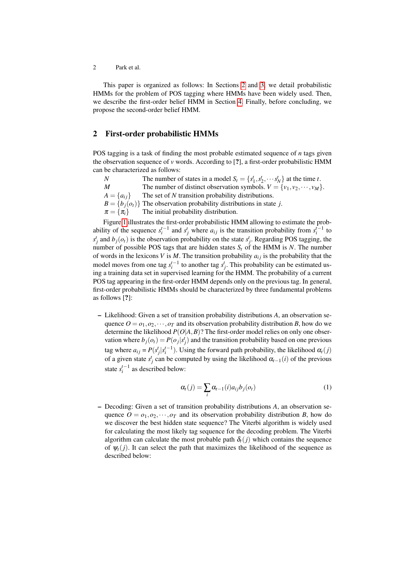2 Park et al.

This paper is organized as follows: In Sections [2](#page-1-0) and [3,](#page-2-0) we detail probabilistic HMMs for the problem of POS tagging where HMMs have been widely used. Then, we describe the first-order belief HMM in Section [4.](#page-3-0) Finally, before concluding, we propose the second-order belief HMM.

## <span id="page-1-0"></span>2 First-order probabilistic HMMs

POS tagging is a task of finding the most probable estimated sequence of *n* tags given the observation sequence of *v* words. According to [?], a first-order probabilistic HMM can be characterized as follows:

*N* The number of states in a model  $S_t = \{s_1^t, s_2^t, \dots s_N^t\}$  at the time *t*. *M* The number of distinct observation symbols.  $V = \{v_1, v_2, \dots, v_M\}$ .  $A = \{a_{ij}\}\$  The set of *N* transition probability distributions.  $B = \{b_i(o_t)\}\$ The observation probability distributions in state *j*.  $\pi = {\pi_i}$  The initial probability distribution.

Figure [1](#page-6-0) illustrates the first-order probabilistic HMM allowing to estimate the probability of the sequence  $s_i^{t-1}$  and  $s_j^t$  where  $a_{ij}$  is the transition probability from  $s_i^{t-1}$  to  $s_j^t$  and  $b_j(o_t)$  is the observation probability on the state  $s_j^t$ . Regarding POS tagging, the number of possible POS tags that are hidden states  $S_t$  of the HMM is  $N$ . The number of words in the lexicons *V* is *M*. The transition probability  $a_{ij}$  is the probability that the model moves from one tag  $s_i^{t-1}$  to another tag  $s_j^t$ . This probability can be estimated using a training data set in supervised learning for the HMM. The probability of a current POS tag appearing in the first-order HMM depends only on the previous tag. In general, first-order probabilistic HMMs should be characterized by three fundamental problems as follows [?]:

– Likelihood: Given a set of transition probability distributions *A*, an observation sequence  $O = o_1, o_2, \dots, o_T$  and its observation probability distribution *B*, how do we determine the likelihood  $P(O|A, B)$ ? The first-order model relies on only one observation where  $b_j(o_t) = P(o_j|s_j^t)$  and the transition probability based on one previous tag where  $a_{ij} = P(s_j^t | s_i^{t-1})$ . Using the forward path probability, the likelihood  $\alpha_t(j)$ of a given state  $s_j^t$  can be computed by using the likelihood  $\alpha_{t-1}(i)$  of the previous state  $s_i^{t-1}$  as described below:

$$
\alpha_i(j) = \sum_i \alpha_{i-1}(i) a_{ij} b_j(o_i)
$$
\n(1)

– Decoding: Given a set of transition probability distributions *A*, an observation sequence  $O = o_1, o_2, \dots, o_T$  and its observation probability distribution *B*, how do we discover the best hidden state sequence? The Viterbi algorithm is widely used for calculating the most likely tag sequence for the decoding problem. The Viterbi algorithm can calculate the most probable path  $\delta_t(j)$  which contains the sequence of  $\psi_t(j)$ . It can select the path that maximizes the likelihood of the sequence as described below: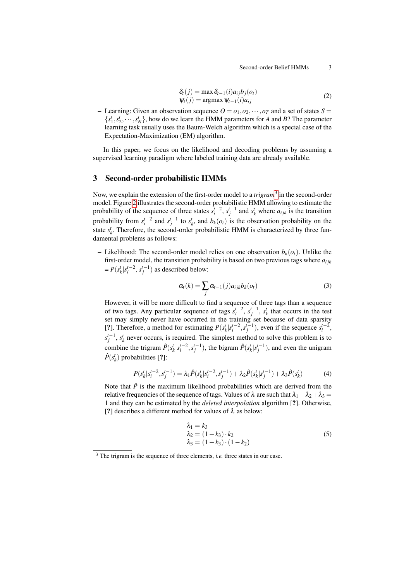Second-order Belief HMMs 3

$$
\delta_t(j) = \max \delta_{t-1}(i)a_{ij}b_j(o_t)
$$
  
\n
$$
\psi_t(j) = \operatorname{argmax} \psi_{t-1}(i)a_{ij}
$$
\n(2)

– Learning: Given an observation sequence  $O = o_1, o_2, \dots, o_T$  and a set of states  $S =$  ${s_1^t, s_2^t, \dots, s_N^t}$ , how do we learn the HMM parameters for *A* and *B*? The parameter learning task usually uses the Baum-Welch algorithm which is a special case of the Expectation-Maximization (EM) algorithm.

In this paper, we focus on the likelihood and decoding problems by assuming a supervised learning paradigm where labeled training data are already available.

# <span id="page-2-0"></span>3 Second-order probabilistic HMMs

Now, we explain the extension of the first-order model to a *trigram*<sup>[3](#page-2-1)</sup> in the second-order model. Figure [2](#page-6-1) illustrates the second-order probabilistic HMM allowing to estimate the probability of the sequence of three states  $s_i^{t-2}$ ,  $s_j^{t-1}$  and  $s_k^t$  where  $a_{ijk}$  is the transition probability from  $s_i^{t-2}$  and  $s_j^{t-1}$  to  $s_k^t$ , and  $b_k(o_t)$  is the observation probability on the state  $s_k^t$ . Therefore, the second-order probabilistic HMM is characterized by three fundamental problems as follows:

– Likelihood: The second-order model relies on one observation  $b_k(o_t)$ . Unlike the first-order model, the transition probability is based on two previous tags where  $a_{ijk}$  $= P(s_k^t | s_i^{t-2}, s_j^{t-1})$  as described below:

$$
\alpha_t(k) = \sum_j \alpha_{t-1}(j) a_{ijk} b_k(o_t)
$$
\n(3)

However, it will be more difficult to find a sequence of three tags than a sequence of two tags. Any particular sequence of tags  $s_i^{t-2}$ ,  $s_j^{t-1}$ ,  $s_k^t$  that occurs in the test set may simply never have occurred in the training set because of data sparsity [?]. Therefore, a method for estimating  $P(s_k^t | s_i^{t-2}, s_j^{t-1})$ , even if the sequence  $s_i^{t-2}$ ,  $s_f^{t-1}$ ,  $s_k^t$  never occurs, is required. The simplest method to solve this problem is to combine the trigram  $\hat{P}(s_k^t | s_i^{t-2}, s_j^{t-1})$ , the bigram  $\hat{P}(s_k^t | s_j^{t-1})$ , and even the unigram  $\hat{P}(s_k^t)$  probabilities [?]:

$$
P(s_k^t | s_i^{t-2}, s_j^{t-1}) = \lambda_1 \hat{P}(s_k^t | s_i^{t-2}, s_j^{t-1}) + \lambda_2 \hat{P}(s_k^t | s_j^{t-1}) + \lambda_3 \hat{P}(s_k^t)
$$
(4)

Note that  $\hat{P}$  is the maximum likelihood probabilities which are derived from the relative frequencies of the sequence of tags. Values of  $\lambda$  are such that  $\lambda_1 + \lambda_2 + \lambda_3 =$ 1 and they can be estimated by the *deleted interpolation* algorithm [?]. Otherwise, [?] describes a different method for values of  $\lambda$  as below:

$$
\lambda_1 = k_3
$$
  
\n
$$
\lambda_2 = (1 - k_3) \cdot k_2
$$
  
\n
$$
\lambda_3 = (1 - k_3) \cdot (1 - k_2)
$$
\n(5)

<span id="page-2-1"></span><sup>3</sup> The trigram is the sequence of three elements, *i.e.* three states in our case.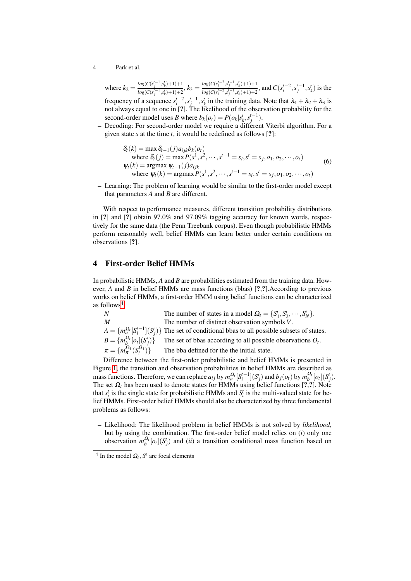4 Park et al.

where  $k_2 = \frac{\log(C(s_j^{t-1}, s_k^t) + 1) + 1}{\log(C(s_j^{t-1}, s_{k+1}^t) + 1)}$  $\frac{log(C(s_j^{t-1}, s_k^t) + 1) + 1}{log(C(s_j^{t-1}, s_k^t) + 1) + 2}, k_3 = \frac{log(C(s_i^{t-2}, s_j^{t-1}, s_k^t) + 1) + 1}{log(C(s_i^{t-2}, s_j^{t-1}, s_k^t) + 1) + 2}$  $\frac{log(c(s_i^{t-2}, s_j^{t-1}, s_k^{t})+1)+1}{log(c(s_i^{t-2}, s_j^{t-1}, s_k^{t})+1)+2}$ , and  $C(s_i^{t-2}, s_j^{t-1}, s_k^{t})$  is the frequency of a sequence  $s_i^{t-2}$ ,  $s_j^{t-1}$ ,  $s_k^t$  in the training data. Note that  $\lambda_1 + \lambda_2 + \lambda_3$  is not always equal to one in [?]. The likelihood of the observation probability for the second-order model uses *B* where  $b_k(o_t) = P(o_k|s_k^t, s_j^{t-1})$ .

– Decoding: For second-order model we require a different Viterbi algorithm. For a given state *s* at the time *t*, it would be redefined as follows [?]:

$$
\delta_t(k) = \max \delta_{t-1}(j)a_{ijk}b_k(o_t)
$$
  
where  $\delta_t(j) = \max P(s^1, s^2, \dots, s^{t-1} = s_i, s^t = s_j, o_1, o_2, \dots, o_t)$   
 $\psi_t(k) = \operatorname{argmax} \psi_{t-1}(j)a_{ijk}$   
where  $\psi_t(k) = \operatorname{argmax} P(s^1, s^2, \dots, s^{t-1} = s_i, s^t = s_j, o_1, o_2, \dots, o_t)$  (6)

– Learning: The problem of learning would be similar to the first-order model except that parameters *A* and *B* are different.

With respect to performance measures, different transition probability distributions in [?] and [?] obtain 97.0% and 97.09% tagging accuracy for known words, respectively for the same data (the Penn Treebank corpus). Even though probabilistic HMMs perform reasonably well, belief HMMs can learn better under certain conditions on observations [?].

# <span id="page-3-0"></span>4 First-order Belief HMMs

In probabilistic HMMs, *A* and *B* are probabilities estimated from the training data. However, *A* and *B* in belief HMMs are mass functions (bbas) [?,?].According to previous works on belief HMMs, a first-order HMM using belief functions can be characterized as follows<sup>[4](#page-3-1)</sup>:

*N* The number of states in a model  $\Omega_t = \{S_1^t, S_2^t, \dots, S_N^t\}$ . *M* The number of distinct observation symbols *V*.  $A = \{m_a^{\Omega_t}[S_i^{t-1}](S_j^t)\}$  The set of conditional bbas to all possible subsets of states.  $B = \{m_b^{\Omega_t}[o_t](S_j^t)$ )} The set of bbas according to all possible observations  $O_t$ .  $\pi = \{m_\pi^{\Omega_1}(S_i^{\Omega_1})\}$ The bba defined for the the initial state.

Difference between the first-order probabilistic and belief HMMs is presented in Figure [1,](#page-6-0) the transition and observation probabilities in belief HMMs are described as mass functions. Therefore, we can replace  $a_{ij}$  by  $m_a^{\Omega_t} [S_i^{t-1}](S_j^t)$  and  $b_j(o_t)$  by  $m_b^{\Omega_t}[o_t](S_j^t)$ . The set  $\Omega_t$  has been used to denote states for HMMs using belief functions [?,?]. Note that  $s_i^t$  is the single state for probabilistic HMMs and  $S_i^t$  is the multi-valued state for belief HMMs. First-order belief HMMs should also be characterized by three fundamental problems as follows:

– Likelihood: The likelihood problem in belief HMMs is not solved by *likelihood*, but by using the combination. The first-order belief model relies on (*i*) only one observation  $m_b^{\Omega_t}[o_t](S_j^t)$  and *(ii)* a transition conditional mass function based on

<span id="page-3-1"></span><sup>&</sup>lt;sup>4</sup> In the model  $\Omega_t$ ,  $S^t$  are focal elements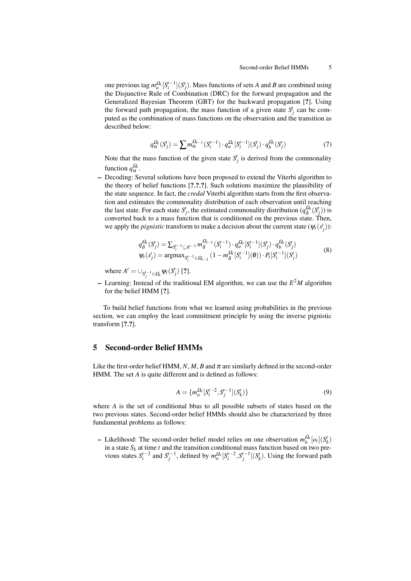one previous tag  $m_a^{\Omega_t} [S_i^{t-1}](S_j^t)$ . Mass functions of sets *A* and *B* are combined using the Disjunctive Rule of Combination (DRC) for the forward propagation and the Generalized Bayesian Theorem (GBT) for the backward propagation [?]. Using the forward path propagation, the mass function of a given state  $S_j^t$  can be computed as the combination of mass functions on the observation and the transition as described below:

$$
q_{\alpha}^{\Omega_t}(S_j^t) = \sum m_{\alpha}^{\Omega_{t-1}}(S_i^{t-1}) \cdot q_a^{\Omega_t}[S_i^{t-1}](S_j^t) \cdot q_b^{\Omega_t}(S_j^t)
$$
(7)

Note that the mass function of the given state  $S_j^t$  is derived from the commonality function  $q_{\alpha}^{\Omega_t}$ .

– Decoding: Several solutions have been proposed to extend the Viterbi algorithm to the theory of belief functions [?,?,?]. Such solutions maximize the plausibility of the state sequence. In fact, the *credal* Viterbi algorithm starts from the first observation and estimates the commonality distribution of each observation until reaching the last state. For each state  $S_j^t$ , the estimated commonality distribution ( $q_{\delta}^{\Omega_t}$ )  $\frac{Q_t}{\delta}(S_j^t))$  is converted back to a mass function that is conditioned on the previous state. Then, we apply the *pignistic* transform to make a decision about the current state  $(\psi_t(s_j^t))$ :

$$
q_{\delta}^{\Omega_t}(S_j^t) = \sum_{S_i^{t-1} \subseteq A^{t-1}} m_{\delta}^{\Omega_{t-1}}(S_i^{t-1}) \cdot q_a^{\Omega_t}[S_i^{t-1}](S_j^t) \cdot q_b^{\Omega_t}(S_j^t)
$$
  

$$
\psi_t(s_j^t) = \operatorname{argmax}_{S_i^{t-1} \in \Omega_{t-1}} (1 - m_{\delta}^{\Omega_t}[S_i^{t-1}](\emptyset)) \cdot P_t[S_i^{t-1}](S_j^t)
$$
 (8)

where  $A^t = \bigcup_{S_j^{t-1} \in \Omega_t} \psi_t(S_j^t)$  [?].

– Learning: Instead of the traditional EM algorithm, we can use the *E* <sup>2</sup>*M* algorithm for the belief HMM [?].

To build belief functions from what we learned using probabilities in the previous section, we can employ the least commitment principle by using the inverse pignistic transform [?,?].

# 5 Second-order Belief HMMs

Like the first-order belief HMM,  $N$ ,  $M$ ,  $B$  and  $\pi$  are similarly defined in the second-order HMM. The set *A* is quite different and is defined as follows:

$$
A = \{ m_a^{\Omega_t} [S_i^{t-2}, S_j^{t-1}] (S_k^t) \}
$$
\n(9)

where *A* is the set of conditional bbas to all possible subsets of states based on the two previous states. Second-order belief HMMs should also be characterized by three fundamental problems as follows:

– Likelihood: The second-order belief model relies on one observation  $m_b^{\Omega_t} [o_t](S_k^t)$ in a state *S<sup>k</sup>* at time *t* and the transition conditional mass function based on two previous states  $S_i^{t-2}$  and  $S_j^{t-1}$ , defined by  $m_a^{\Omega_t} [S_i^{t-2}, S_j^{t-1}] (S_k^t)$ . Using the forward path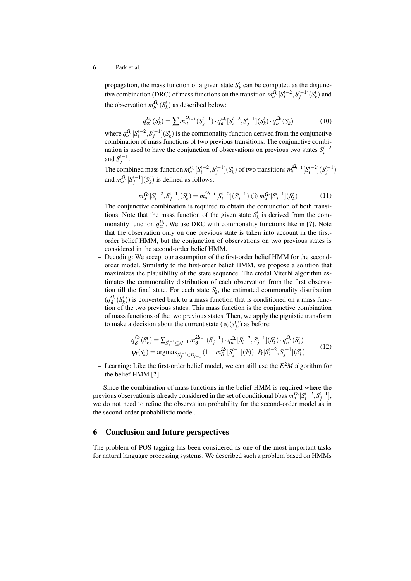#### 6 Park et al.

propagation, the mass function of a given state  $S_k^t$  can be computed as the disjunctive combination (DRC) of mass functions on the transition  $m_a^{\Omega_t} [S_i^{t-2}, S_j^{t-1}] (S_k^t)$  and the observation  $m_b^{\Omega_t}(S_k^t)$  as described below:

$$
q_{\alpha}^{\Omega_t}(S_k^t) = \sum m_{\alpha}^{\Omega_{t-1}}(S_j^{t-1}) \cdot q_a^{\Omega_t}[S_i^{t-2}, S_j^{t-1}](S_k^t) \cdot q_b^{\Omega_t}(S_k^t)
$$
(10)

where  $q_a^{\Omega_t}$   $[S_t^{t-2}, S_j^{t-1}](S_k^t)$  is the commonality function derived from the conjunctive combination of mass functions of two previous transitions. The conjunctive combination is used to have the conjunction of observations on previous two states  $S_i^{t-2}$ and  $S_j^{t-1}$ .

The combined mass function  $m_a^{\Omega_t} [S_i^{t-2}, S_j^{t-1}](S_k^t)$  of two transitions  $m_a^{\Omega_{t-1}} [S_i^{t-2}](S_j^{t-1})$ and  $m_a^{\Omega_t}[S_j^{t-1}](S_k^t)$  is defined as follows:

$$
m_a^{\Omega_t} [S_i^{t-2}, S_j^{t-1}] (S_k^t) = m_a^{\Omega_{t-1}} [S_i^{t-2}] (S_j^{t-1}) \odot m_a^{\Omega_t} [S_j^{t-1}] (S_k^t)
$$
(11)

The conjunctive combination is required to obtain the conjunction of both transitions. Note that the mass function of the given state  $S_k^t$  is derived from the commonality function  $q_{\alpha}^{\Omega_t}$ . We use DRC with commonality functions like in [?]. Note that the observation only on one previous state is taken into account in the firstorder belief HMM, but the conjunction of observations on two previous states is considered in the second-order belief HMM.

– Decoding: We accept our assumption of the first-order belief HMM for the secondorder model. Similarly to the first-order belief HMM, we propose a solution that maximizes the plausibility of the state sequence. The credal Viterbi algorithm estimates the commonality distribution of each observation from the first observation till the final state. For each state  $S_k^t$ , the estimated commonality distribution  $(q_8^{\Omega_t}$  $\delta^{Q_t}(S_k^t)$ ) is converted back to a mass function that is conditioned on a mass function of the two previous states. This mass function is the conjunctive combination of mass functions of the two previous states. Then, we apply the pignistic transform to make a decision about the current state  $(\psi_t(s_j))$  as before:

$$
q_{\delta}^{\Omega_t}(S_k^t) = \sum_{S_j^{t-1} \subseteq A^{t-1}} m_{\delta}^{\Omega_{t-1}}(S_j^{t-1}) \cdot q_a^{\Omega_t}[S_i^{t-2}, S_j^{t-1}](S_k^t) \cdot q_b^{\Omega_t}(S_k^t)
$$
  

$$
\psi_t(s_k^t) = \operatorname{argmax}_{S_j^{t-1} \in \Omega_{t-1}} (1 - m_{\delta}^{\Omega_t}[S_j^{t-1}](\emptyset)) \cdot P_t[S_i^{t-2}, S_j^{t-1}](S_k^t)
$$
(12)

– Learning: Like the first-order belief model, we can still use the *E* <sup>2</sup>*M* algorithm for the belief HMM [?].

Since the combination of mass functions in the belief HMM is required where the previous observation is already considered in the set of conditional bbas  $m_a^{\Omega_t} [S_i^{t-2}, S_j^{t-1}]$ , we do not need to refine the observation probability for the second-order model as in the second-order probabilistic model.

#### 6 Conclusion and future perspectives

The problem of POS tagging has been considered as one of the most important tasks for natural language processing systems. We described such a problem based on HMMs